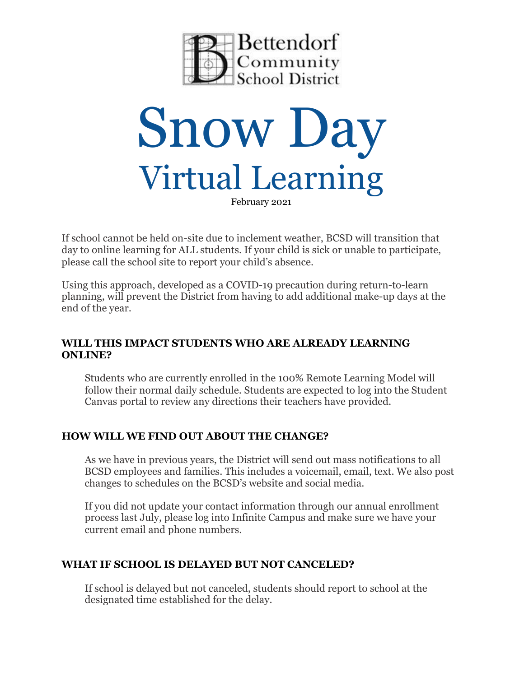



If school cannot be held on-site due to inclement weather, BCSD will transition that day to online learning for ALL students. If your child is sick or unable to participate, please call the school site to report your child's absence.

Using this approach, developed as a COVID-19 precaution during return-to-learn planning, will prevent the District from having to add additional make-up days at the end of the year.

### **WILL THIS IMPACT STUDENTS WHO ARE ALREADY LEARNING ONLINE?**

Students who are currently enrolled in the 100% Remote Learning Model will follow their normal daily schedule. Students are expected to log into the Student Canvas portal to review any directions their teachers have provided.

### **HOW WILL WE FIND OUT ABOUT THE CHANGE?**

As we have in previous years, the District will send out mass notifications to all BCSD employees and families. This includes a voicemail, email, text. We also post changes to schedules on the BCSD's website and social media.

If you did not update your contact information through our annual enrollment process last July, please log into Infinite Campus and make sure we have your current email and phone numbers.

# **WHAT IF SCHOOL IS DELAYED BUT NOT CANCELED?**

If school is delayed but not canceled, students should report to school at the designated time established for the delay.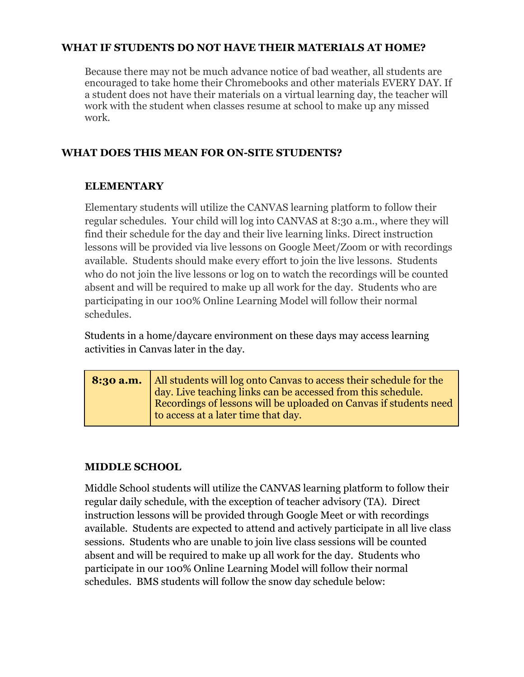### **WHAT IF STUDENTS DO NOT HAVE THEIR MATERIALS AT HOME?**

Because there may not be much advance notice of bad weather, all students are encouraged to take home their Chromebooks and other materials EVERY DAY. If a student does not have their materials on a virtual learning day, the teacher will work with the student when classes resume at school to make up any missed work.

#### **WHAT DOES THIS MEAN FOR ON-SITE STUDENTS?**

#### **ELEMENTARY**

Elementary students will utilize the CANVAS learning platform to follow their regular schedules. Your child will log into CANVAS at 8:30 a.m., where they will find their schedule for the day and their live learning links. Direct instruction lessons will be provided via live lessons on Google Meet/Zoom or with recordings available. Students should make every effort to join the live lessons. Students who do not join the live lessons or log on to watch the recordings will be counted absent and will be required to make up all work for the day. Students who are participating in our 100% Online Learning Model will follow their normal schedules.

Students in a home/daycare environment on these days may access learning activities in Canvas later in the day.

**8:30 a.m.** All students will log onto Canvas to access their schedule for the day. Live teaching links can be accessed from this schedule. Recordings of lessons will be uploaded on Canvas if students need to access at a later time that day.

#### **MIDDLE SCHOOL**

Middle School students will utilize the CANVAS learning platform to follow their regular daily schedule, with the exception of teacher advisory (TA). Direct instruction lessons will be provided through Google Meet or with recordings available. Students are expected to attend and actively participate in all live class sessions. Students who are unable to join live class sessions will be counted absent and will be required to make up all work for the day. Students who participate in our 100% Online Learning Model will follow their normal schedules. BMS students will follow the snow day schedule below: